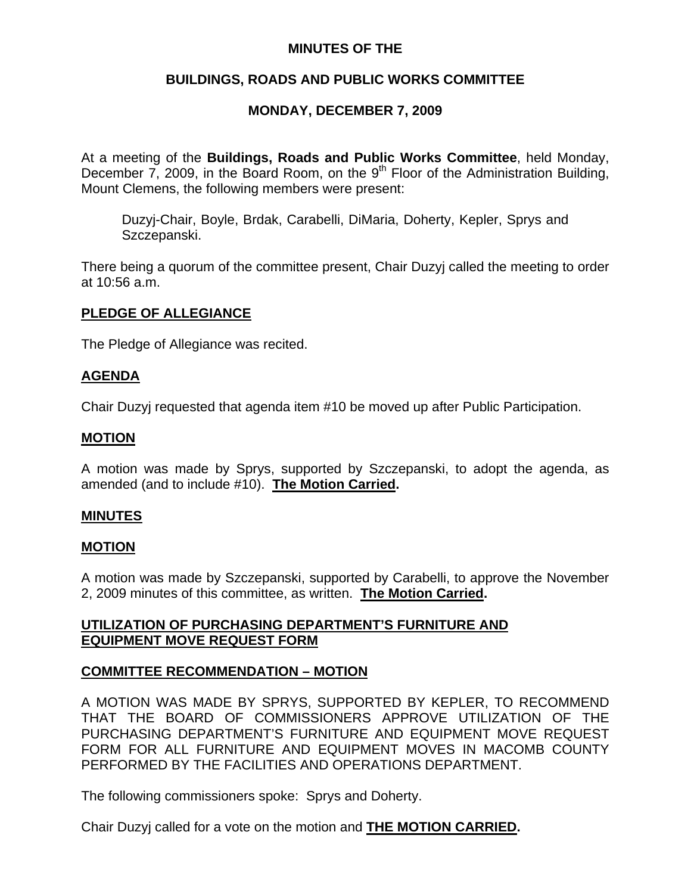## **MINUTES OF THE**

# **BUILDINGS, ROADS AND PUBLIC WORKS COMMITTEE**

# **MONDAY, DECEMBER 7, 2009**

At a meeting of the **Buildings, Roads and Public Works Committee**, held Monday, December  $\overline{7}$ , 2009, in the Board Room, on the 9<sup>th</sup> Floor of the Administration Building, Mount Clemens, the following members were present:

Duzyj-Chair, Boyle, Brdak, Carabelli, DiMaria, Doherty, Kepler, Sprys and Szczepanski.

There being a quorum of the committee present, Chair Duzyj called the meeting to order at 10:56 a.m.

### **PLEDGE OF ALLEGIANCE**

The Pledge of Allegiance was recited.

### **AGENDA**

Chair Duzyj requested that agenda item #10 be moved up after Public Participation.

### **MOTION**

A motion was made by Sprys, supported by Szczepanski, to adopt the agenda, as amended (and to include #10). **The Motion Carried.** 

### **MINUTES**

### **MOTION**

A motion was made by Szczepanski, supported by Carabelli, to approve the November 2, 2009 minutes of this committee, as written. **The Motion Carried.** 

# **UTILIZATION OF PURCHASING DEPARTMENT'S FURNITURE AND EQUIPMENT MOVE REQUEST FORM**

### **COMMITTEE RECOMMENDATION – MOTION**

A MOTION WAS MADE BY SPRYS, SUPPORTED BY KEPLER, TO RECOMMEND THAT THE BOARD OF COMMISSIONERS APPROVE UTILIZATION OF THE PURCHASING DEPARTMENT'S FURNITURE AND EQUIPMENT MOVE REQUEST FORM FOR ALL FURNITURE AND EQUIPMENT MOVES IN MACOMB COUNTY PERFORMED BY THE FACILITIES AND OPERATIONS DEPARTMENT.

The following commissioners spoke: Sprys and Doherty.

Chair Duzyj called for a vote on the motion and **THE MOTION CARRIED.**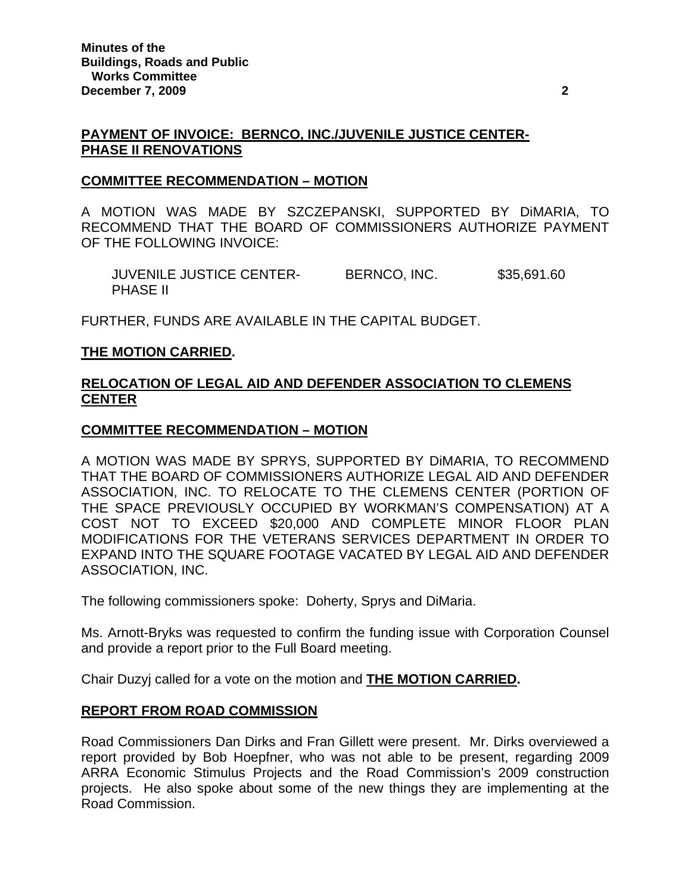### **PAYMENT OF INVOICE: BERNCO, INC./JUVENILE JUSTICE CENTER-PHASE II RENOVATIONS**

#### **COMMITTEE RECOMMENDATION – MOTION**

A MOTION WAS MADE BY SZCZEPANSKI, SUPPORTED BY DiMARIA, TO RECOMMEND THAT THE BOARD OF COMMISSIONERS AUTHORIZE PAYMENT OF THE FOLLOWING INVOICE:

 JUVENILE JUSTICE CENTER- BERNCO, INC. \$35,691.60 PHASE II

FURTHER, FUNDS ARE AVAILABLE IN THE CAPITAL BUDGET.

### **THE MOTION CARRIED.**

# **RELOCATION OF LEGAL AID AND DEFENDER ASSOCIATION TO CLEMENS CENTER**

### **COMMITTEE RECOMMENDATION – MOTION**

A MOTION WAS MADE BY SPRYS, SUPPORTED BY DiMARIA, TO RECOMMEND THAT THE BOARD OF COMMISSIONERS AUTHORIZE LEGAL AID AND DEFENDER ASSOCIATION, INC. TO RELOCATE TO THE CLEMENS CENTER (PORTION OF THE SPACE PREVIOUSLY OCCUPIED BY WORKMAN'S COMPENSATION) AT A COST NOT TO EXCEED \$20,000 AND COMPLETE MINOR FLOOR PLAN MODIFICATIONS FOR THE VETERANS SERVICES DEPARTMENT IN ORDER TO EXPAND INTO THE SQUARE FOOTAGE VACATED BY LEGAL AID AND DEFENDER ASSOCIATION, INC.

The following commissioners spoke: Doherty, Sprys and DiMaria.

Ms. Arnott-Bryks was requested to confirm the funding issue with Corporation Counsel and provide a report prior to the Full Board meeting.

Chair Duzyj called for a vote on the motion and **THE MOTION CARRIED.** 

### **REPORT FROM ROAD COMMISSION**

Road Commissioners Dan Dirks and Fran Gillett were present. Mr. Dirks overviewed a report provided by Bob Hoepfner, who was not able to be present, regarding 2009 ARRA Economic Stimulus Projects and the Road Commission's 2009 construction projects. He also spoke about some of the new things they are implementing at the Road Commission.